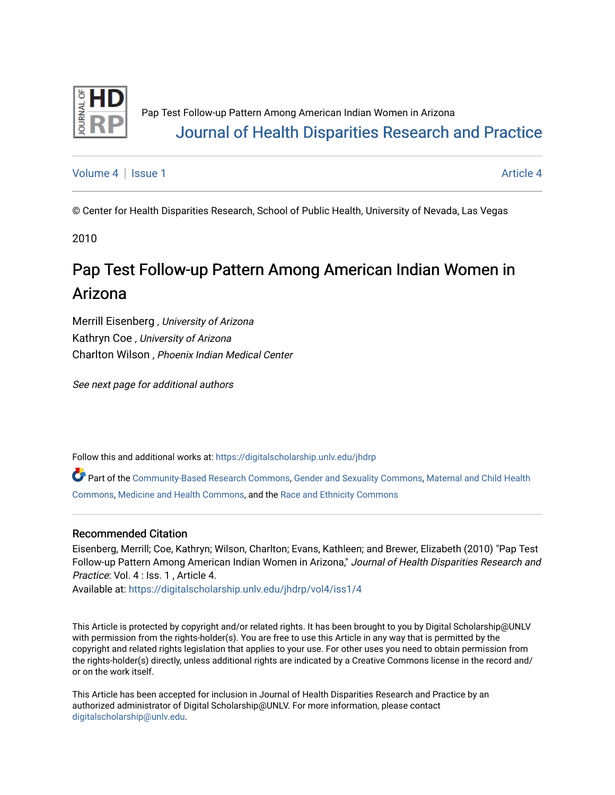

[Volume 4](https://digitalscholarship.unlv.edu/jhdrp/vol4) | [Issue 1](https://digitalscholarship.unlv.edu/jhdrp/vol4/iss1) [Article 4](https://digitalscholarship.unlv.edu/jhdrp/vol4/iss1/4) | Article 4 Article 4 | Article 4 Article 4 | Article 4 | Article 4 | Article 4 |

© Center for Health Disparities Research, School of Public Health, University of Nevada, Las Vegas

2010

# Pap Test Follow-up Pattern Among American Indian Women in Arizona

Merrill Eisenberg , University of Arizona Kathryn Coe , University of Arizona Charlton Wilson , Phoenix Indian Medical Center

See next page for additional authors

Follow this and additional works at: [https://digitalscholarship.unlv.edu/jhdrp](https://digitalscholarship.unlv.edu/jhdrp?utm_source=digitalscholarship.unlv.edu%2Fjhdrp%2Fvol4%2Fiss1%2F4&utm_medium=PDF&utm_campaign=PDFCoverPages) 

Part of the [Community-Based Research Commons,](http://network.bepress.com/hgg/discipline/1047?utm_source=digitalscholarship.unlv.edu%2Fjhdrp%2Fvol4%2Fiss1%2F4&utm_medium=PDF&utm_campaign=PDFCoverPages) [Gender and Sexuality Commons,](http://network.bepress.com/hgg/discipline/420?utm_source=digitalscholarship.unlv.edu%2Fjhdrp%2Fvol4%2Fiss1%2F4&utm_medium=PDF&utm_campaign=PDFCoverPages) [Maternal and Child Health](http://network.bepress.com/hgg/discipline/745?utm_source=digitalscholarship.unlv.edu%2Fjhdrp%2Fvol4%2Fiss1%2F4&utm_medium=PDF&utm_campaign=PDFCoverPages) [Commons,](http://network.bepress.com/hgg/discipline/745?utm_source=digitalscholarship.unlv.edu%2Fjhdrp%2Fvol4%2Fiss1%2F4&utm_medium=PDF&utm_campaign=PDFCoverPages) [Medicine and Health Commons](http://network.bepress.com/hgg/discipline/422?utm_source=digitalscholarship.unlv.edu%2Fjhdrp%2Fvol4%2Fiss1%2F4&utm_medium=PDF&utm_campaign=PDFCoverPages), and the [Race and Ethnicity Commons](http://network.bepress.com/hgg/discipline/426?utm_source=digitalscholarship.unlv.edu%2Fjhdrp%2Fvol4%2Fiss1%2F4&utm_medium=PDF&utm_campaign=PDFCoverPages) 

#### Recommended Citation

Eisenberg, Merrill; Coe, Kathryn; Wilson, Charlton; Evans, Kathleen; and Brewer, Elizabeth (2010) "Pap Test Follow-up Pattern Among American Indian Women in Arizona," Journal of Health Disparities Research and Practice: Vol. 4 : Iss. 1, Article 4.

Available at: [https://digitalscholarship.unlv.edu/jhdrp/vol4/iss1/4](https://digitalscholarship.unlv.edu/jhdrp/vol4/iss1/4?utm_source=digitalscholarship.unlv.edu%2Fjhdrp%2Fvol4%2Fiss1%2F4&utm_medium=PDF&utm_campaign=PDFCoverPages)

This Article is protected by copyright and/or related rights. It has been brought to you by Digital Scholarship@UNLV with permission from the rights-holder(s). You are free to use this Article in any way that is permitted by the copyright and related rights legislation that applies to your use. For other uses you need to obtain permission from the rights-holder(s) directly, unless additional rights are indicated by a Creative Commons license in the record and/ or on the work itself.

This Article has been accepted for inclusion in Journal of Health Disparities Research and Practice by an authorized administrator of Digital Scholarship@UNLV. For more information, please contact [digitalscholarship@unlv.edu](mailto:digitalscholarship@unlv.edu).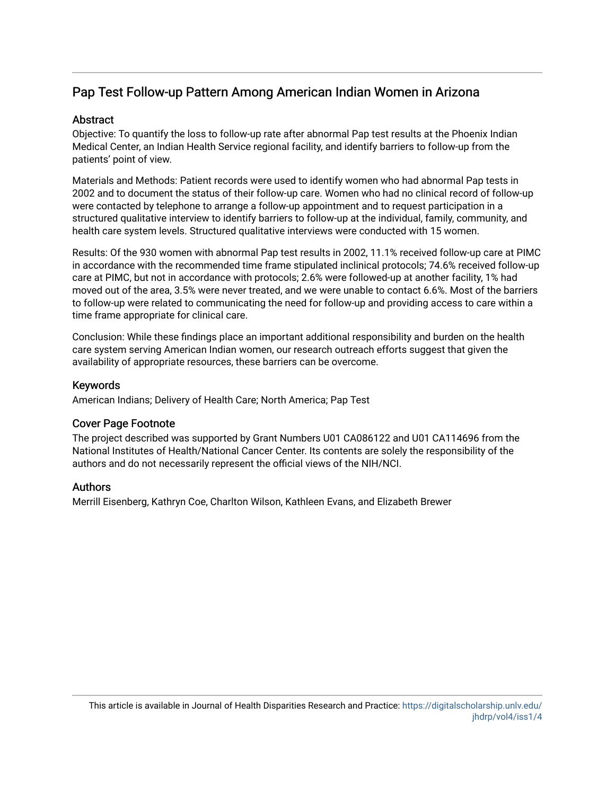## Pap Test Follow-up Pattern Among American Indian Women in Arizona

#### Abstract

Objective: To quantify the loss to follow-up rate after abnormal Pap test results at the Phoenix Indian Medical Center, an Indian Health Service regional facility, and identify barriers to follow-up from the patients' point of view.

Materials and Methods: Patient records were used to identify women who had abnormal Pap tests in 2002 and to document the status of their follow-up care. Women who had no clinical record of follow-up were contacted by telephone to arrange a follow-up appointment and to request participation in a structured qualitative interview to identify barriers to follow-up at the individual, family, community, and health care system levels. Structured qualitative interviews were conducted with 15 women.

Results: Of the 930 women with abnormal Pap test results in 2002, 11.1% received follow-up care at PIMC in accordance with the recommended time frame stipulated inclinical protocols; 74.6% received follow-up care at PIMC, but not in accordance with protocols; 2.6% were followed-up at another facility, 1% had moved out of the area, 3.5% were never treated, and we were unable to contact 6.6%. Most of the barriers to follow-up were related to communicating the need for follow-up and providing access to care within a time frame appropriate for clinical care.

Conclusion: While these findings place an important additional responsibility and burden on the health care system serving American Indian women, our research outreach efforts suggest that given the availability of appropriate resources, these barriers can be overcome.

#### Keywords

American Indians; Delivery of Health Care; North America; Pap Test

#### Cover Page Footnote

The project described was supported by Grant Numbers U01 CA086122 and U01 CA114696 from the National Institutes of Health/National Cancer Center. Its contents are solely the responsibility of the authors and do not necessarily represent the official views of the NIH/NCI.

#### Authors

Merrill Eisenberg, Kathryn Coe, Charlton Wilson, Kathleen Evans, and Elizabeth Brewer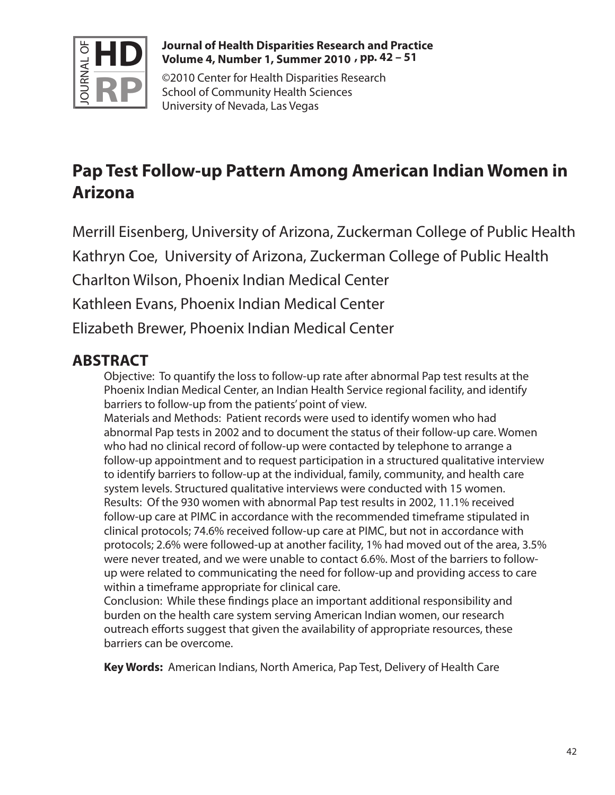

### **Journal of Health Disparities Research and Practice Volume 4, Number 1, Summer 2010 , pp. 42 – 51**

©2010 Center for Health Disparities Research School of Community Health Sciences University of Nevada, Las Vegas

# **Pap Test Follow-up Pattern Among American Indian Women in Arizona**

Merrill Eisenberg, University of Arizona, Zuckerman College of Public Health Kathryn Coe, University of Arizona, Zuckerman College of Public Health Charlton Wilson, Phoenix Indian Medical Center Kathleen Evans, Phoenix Indian Medical Center Elizabeth Brewer, Phoenix Indian Medical Center

# **ABSTRACT**

Objective: To quantify the loss to follow-up rate after abnormal Pap test results at the Phoenix Indian Medical Center, an Indian Health Service regional facility, and identify barriers to follow-up from the patients' point of view.

Materials and Methods: Patient records were used to identify women who had abnormal Pap tests in 2002 and to document the status of their follow-up care. Women who had no clinical record of follow-up were contacted by telephone to arrange a follow-up appointment and to request participation in a structured qualitative interview to identify barriers to follow-up at the individual, family, community, and health care system levels. Structured qualitative interviews were conducted with 15 women. Results: Of the 930 women with abnormal Pap test results in 2002, 11.1% received follow-up care at PIMC in accordance with the recommended timeframe stipulated in clinical protocols; 74.6% received follow-up care at PIMC, but not in accordance with protocols; 2.6% were followed-up at another facility, 1% had moved out of the area, 3.5% were never treated, and we were unable to contact 6.6%. Most of the barriers to followup were related to communicating the need for follow-up and providing access to care within a timeframe appropriate for clinical care.

Conclusion: While these findings place an important additional responsibility and burden on the health care system serving American Indian women, our research outreach efforts suggest that given the availability of appropriate resources, these barriers can be overcome.

**Key Words:** American Indians, North America, Pap Test, Delivery of Health Care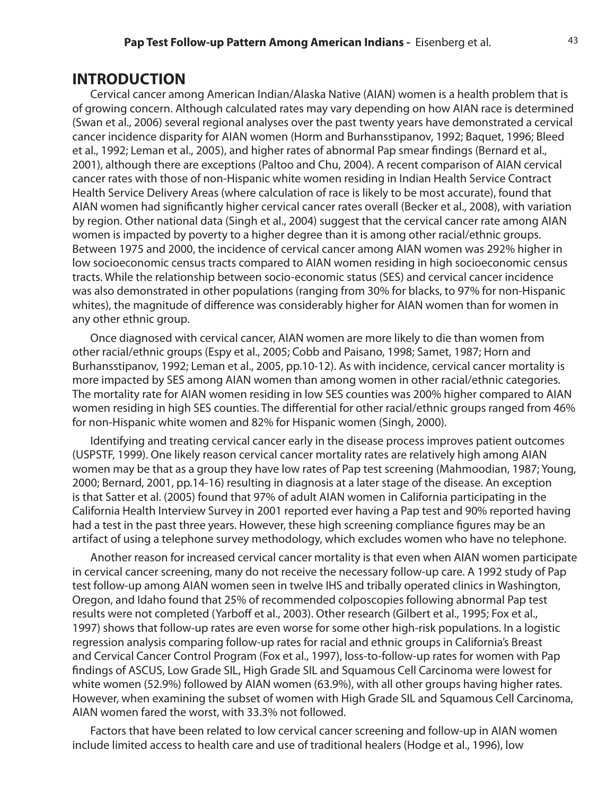## **INTRODUCTION**

Cervical cancer among American Indian/Alaska Native (AIAN) women is a health problem that is of growing concern. Although calculated rates may vary depending on how AIAN race is determined (Swan et al., 2006) several regional analyses over the past twenty years have demonstrated a cervical cancer incidence disparity for AIAN women (Horm and Burhansstipanov, 1992; Baquet, 1996; Bleed et al., 1992; Leman et al., 2005), and higher rates of abnormal Pap smear findings (Bernard et al., 2001), although there are exceptions (Paltoo and Chu, 2004). A recent comparison of AIAN cervical cancer rates with those of non-Hispanic white women residing in Indian Health Service Contract Health Service Delivery Areas (where calculation of race is likely to be most accurate), found that AIAN women had significantly higher cervical cancer rates overall (Becker et al., 2008), with variation by region. Other national data (Singh et al., 2004) suggest that the cervical cancer rate among AIAN women is impacted by poverty to a higher degree than it is among other racial/ethnic groups. Between 1975 and 2000, the incidence of cervical cancer among AIAN women was 292% higher in low socioeconomic census tracts compared to AIAN women residing in high socioeconomic census tracts. While the relationship between socio-economic status (SES) and cervical cancer incidence was also demonstrated in other populations (ranging from 30% for blacks, to 97% for non-Hispanic whites), the magnitude of difference was considerably higher for AIAN women than for women in any other ethnic group.

Once diagnosed with cervical cancer, AIAN women are more likely to die than women from other racial/ethnic groups (Espy et al., 2005; Cobb and Paisano, 1998; Samet, 1987; Horn and Burhansstipanov, 1992; Leman et al., 2005, pp.10-12). As with incidence, cervical cancer mortality is more impacted by SES among AIAN women than among women in other racial/ethnic categories. The mortality rate for AIAN women residing in low SES counties was 200% higher compared to AIAN women residing in high SES counties. The differential for other racial/ethnic groups ranged from 46% for non-Hispanic white women and 82% for Hispanic women (Singh, 2000).

Identifying and treating cervical cancer early in the disease process improves patient outcomes (USPSTF, 1999). One likely reason cervical cancer mortality rates are relatively high among AIAN women may be that as a group they have low rates of Pap test screening (Mahmoodian, 1987; Young, 2000; Bernard, 2001, pp.14-16) resulting in diagnosis at a later stage of the disease. An exception is that Satter et al. (2005) found that 97% of adult AIAN women in California participating in the California Health Interview Survey in 2001 reported ever having a Pap test and 90% reported having had a test in the past three years. However, these high screening compliance figures may be an artifact of using a telephone survey methodology, which excludes women who have no telephone.

Another reason for increased cervical cancer mortality is that even when AIAN women participate in cervical cancer screening, many do not receive the necessary follow-up care. A 1992 study of Pap test follow-up among AIAN women seen in twelve IHS and tribally operated clinics in Washington, Oregon, and Idaho found that 25% of recommended colposcopies following abnormal Pap test results were not completed (Yarboff et al., 2003). Other research (Gilbert et al., 1995; Fox et al., 1997) shows that follow-up rates are even worse for some other high-risk populations. In a logistic regression analysis comparing follow-up rates for racial and ethnic groups in California's Breast and Cervical Cancer Control Program (Fox et al., 1997), loss-to-follow-up rates for women with Pap findings of ASCUS, Low Grade SIL, High Grade SIL and Squamous Cell Carcinoma were lowest for white women (52.9%) followed by AIAN women (63.9%), with all other groups having higher rates. However, when examining the subset of women with High Grade SIL and Squamous Cell Carcinoma, AIAN women fared the worst, with 33.3% not followed.

Factors that have been related to low cervical cancer screening and follow-up in AIAN women include limited access to health care and use of traditional healers (Hodge et al., 1996), low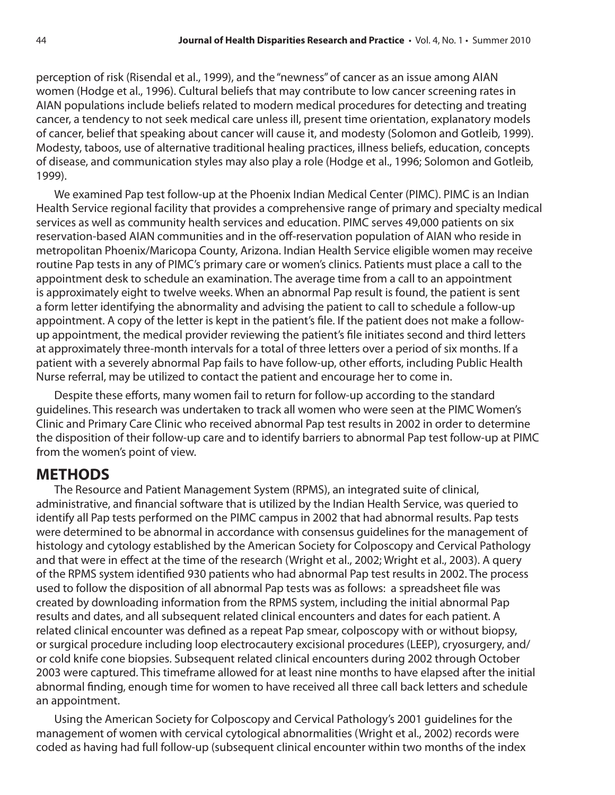perception of risk (Risendal et al., 1999), and the "newness" of cancer as an issue among AIAN women (Hodge et al., 1996). Cultural beliefs that may contribute to low cancer screening rates in AIAN populations include beliefs related to modern medical procedures for detecting and treating cancer, a tendency to not seek medical care unless ill, present time orientation, explanatory models of cancer, belief that speaking about cancer will cause it, and modesty (Solomon and Gotleib, 1999). Modesty, taboos, use of alternative traditional healing practices, illness beliefs, education, concepts of disease, and communication styles may also play a role (Hodge et al., 1996; Solomon and Gotleib, 1999).

We examined Pap test follow-up at the Phoenix Indian Medical Center (PIMC). PIMC is an Indian Health Service regional facility that provides a comprehensive range of primary and specialty medical services as well as community health services and education. PIMC serves 49,000 patients on six reservation-based AIAN communities and in the off-reservation population of AIAN who reside in metropolitan Phoenix/Maricopa County, Arizona. Indian Health Service eligible women may receive routine Pap tests in any of PIMC's primary care or women's clinics. Patients must place a call to the appointment desk to schedule an examination. The average time from a call to an appointment is approximately eight to twelve weeks. When an abnormal Pap result is found, the patient is sent a form letter identifying the abnormality and advising the patient to call to schedule a follow-up appointment. A copy of the letter is kept in the patient's file. If the patient does not make a followup appointment, the medical provider reviewing the patient's file initiates second and third letters at approximately three-month intervals for a total of three letters over a period of six months. If a patient with a severely abnormal Pap fails to have follow-up, other efforts, including Public Health Nurse referral, may be utilized to contact the patient and encourage her to come in.

Despite these efforts, many women fail to return for follow-up according to the standard guidelines. This research was undertaken to track all women who were seen at the PIMC Women's Clinic and Primary Care Clinic who received abnormal Pap test results in 2002 in order to determine the disposition of their follow-up care and to identify barriers to abnormal Pap test follow-up at PIMC from the women's point of view.

## **METHODS**

The Resource and Patient Management System (RPMS), an integrated suite of clinical, administrative, and financial software that is utilized by the Indian Health Service, was queried to identify all Pap tests performed on the PIMC campus in 2002 that had abnormal results. Pap tests were determined to be abnormal in accordance with consensus guidelines for the management of histology and cytology established by the American Society for Colposcopy and Cervical Pathology and that were in effect at the time of the research (Wright et al., 2002; Wright et al., 2003). A query of the RPMS system identified 930 patients who had abnormal Pap test results in 2002. The process used to follow the disposition of all abnormal Pap tests was as follows: a spreadsheet file was created by downloading information from the RPMS system, including the initial abnormal Pap results and dates, and all subsequent related clinical encounters and dates for each patient. A related clinical encounter was defined as a repeat Pap smear, colposcopy with or without biopsy, or surgical procedure including loop electrocautery excisional procedures (LEEP), cryosurgery, and/ or cold knife cone biopsies. Subsequent related clinical encounters during 2002 through October 2003 were captured. This timeframe allowed for at least nine months to have elapsed after the initial abnormal finding, enough time for women to have received all three call back letters and schedule an appointment.

Using the American Society for Colposcopy and Cervical Pathology's 2001 guidelines for the management of women with cervical cytological abnormalities (Wright et al., 2002) records were coded as having had full follow-up (subsequent clinical encounter within two months of the index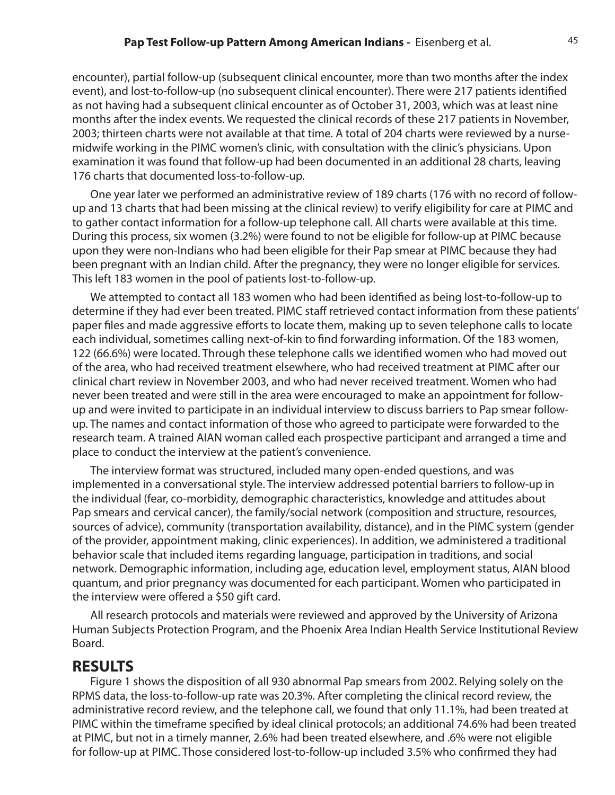encounter), partial follow-up (subsequent clinical encounter, more than two months after the index event), and lost-to-follow-up (no subsequent clinical encounter). There were 217 patients identified as not having had a subsequent clinical encounter as of October 31, 2003, which was at least nine months after the index events. We requested the clinical records of these 217 patients in November, 2003; thirteen charts were not available at that time. A total of 204 charts were reviewed by a nursemidwife working in the PIMC women's clinic, with consultation with the clinic's physicians. Upon examination it was found that follow-up had been documented in an additional 28 charts, leaving 176 charts that documented loss-to-follow-up.

One year later we performed an administrative review of 189 charts (176 with no record of followup and 13 charts that had been missing at the clinical review) to verify eligibility for care at PIMC and to gather contact information for a follow-up telephone call. All charts were available at this time. During this process, six women (3.2%) were found to not be eligible for follow-up at PIMC because upon they were non-Indians who had been eligible for their Pap smear at PIMC because they had been pregnant with an Indian child. After the pregnancy, they were no longer eligible for services. This left 183 women in the pool of patients lost-to-follow-up.

We attempted to contact all 183 women who had been identified as being lost-to-follow-up to determine if they had ever been treated. PIMC staff retrieved contact information from these patients' paper files and made aggressive efforts to locate them, making up to seven telephone calls to locate each individual, sometimes calling next-of-kin to find forwarding information. Of the 183 women, 122 (66.6%) were located. Through these telephone calls we identified women who had moved out of the area, who had received treatment elsewhere, who had received treatment at PIMC after our clinical chart review in November 2003, and who had never received treatment. Women who had never been treated and were still in the area were encouraged to make an appointment for followup and were invited to participate in an individual interview to discuss barriers to Pap smear followup. The names and contact information of those who agreed to participate were forwarded to the research team. A trained AIAN woman called each prospective participant and arranged a time and place to conduct the interview at the patient's convenience.

The interview format was structured, included many open-ended questions, and was implemented in a conversational style. The interview addressed potential barriers to follow-up in the individual (fear, co-morbidity, demographic characteristics, knowledge and attitudes about Pap smears and cervical cancer), the family/social network (composition and structure, resources, sources of advice), community (transportation availability, distance), and in the PIMC system (gender of the provider, appointment making, clinic experiences). In addition, we administered a traditional behavior scale that included items regarding language, participation in traditions, and social network. Demographic information, including age, education level, employment status, AIAN blood quantum, and prior pregnancy was documented for each participant. Women who participated in the interview were offered a \$50 gift card.

All research protocols and materials were reviewed and approved by the University of Arizona Human Subjects Protection Program, and the Phoenix Area Indian Health Service Institutional Review Board.

## **RESULTS**

Figure 1 shows the disposition of all 930 abnormal Pap smears from 2002. Relying solely on the RPMS data, the loss-to-follow-up rate was 20.3%. After completing the clinical record review, the administrative record review, and the telephone call, we found that only 11.1%, had been treated at PIMC within the timeframe specified by ideal clinical protocols; an additional 74.6% had been treated at PIMC, but not in a timely manner, 2.6% had been treated elsewhere, and .6% were not eligible for follow-up at PIMC. Those considered lost-to-follow-up included 3.5% who confirmed they had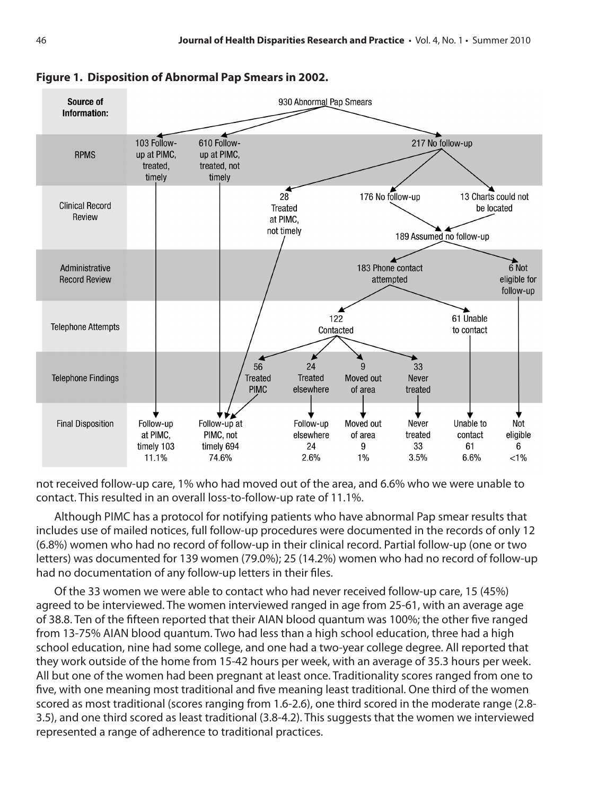

**Figure 1. Disposition of Abnormal Pap Smears in 2002.**

not received follow-up care, 1% who had moved out of the area, and 6.6% who we were unable to contact. This resulted in an overall loss-to-follow-up rate of 11.1%.

Although PIMC has a protocol for notifying patients who have abnormal Pap smear results that includes use of mailed notices, full follow-up procedures were documented in the records of only 12 (6.8%) women who had no record of follow-up in their clinical record. Partial follow-up (one or two letters) was documented for 139 women (79.0%); 25 (14.2%) women who had no record of follow-up had no documentation of any follow-up letters in their files.

Of the 33 women we were able to contact who had never received follow-up care, 15 (45%) agreed to be interviewed. The women interviewed ranged in age from 25-61, with an average age of 38.8. Ten of the fifteen reported that their AIAN blood quantum was 100%; the other five ranged from 13-75% AIAN blood quantum. Two had less than a high school education, three had a high school education, nine had some college, and one had a two-year college degree. All reported that they work outside of the home from 15-42 hours per week, with an average of 35.3 hours per week. All but one of the women had been pregnant at least once. Traditionality scores ranged from one to five, with one meaning most traditional and five meaning least traditional. One third of the women scored as most traditional (scores ranging from 1.6-2.6), one third scored in the moderate range (2.8- 3.5), and one third scored as least traditional (3.8-4.2). This suggests that the women we interviewed represented a range of adherence to traditional practices.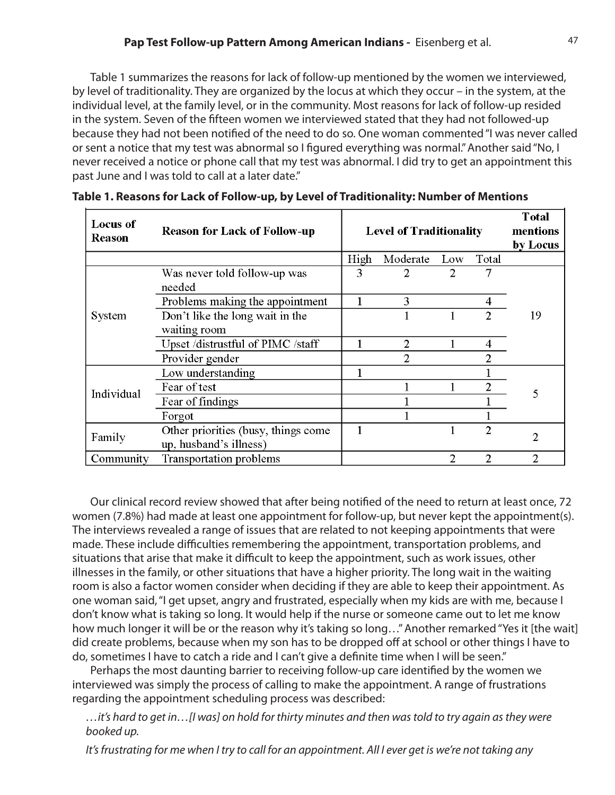Table 1 summarizes the reasons for lack of follow-up mentioned by the women we interviewed, by level of traditionality. They are organized by the locus at which they occur – in the system, at the individual level, at the family level, or in the community. Most reasons for lack of follow-up resided in the system. Seven of the fifteen women we interviewed stated that they had not followed-up because they had not been notified of the need to do so. One woman commented "I was never called or sent a notice that my test was abnormal so I figured everything was normal." Another said "No, I never received a notice or phone call that my test was abnormal. I did try to get an appointment this past June and I was told to call at a later date."

| <b>Locus of</b><br><b>Reason</b> | <b>Reason for Lack of Follow-up</b>                           | <b>Level of Traditionality</b> |                |     | <b>T</b> otal<br>mentions<br>by Locus |    |  |
|----------------------------------|---------------------------------------------------------------|--------------------------------|----------------|-----|---------------------------------------|----|--|
|                                  |                                                               | High                           | Moderate       | Low | Total                                 |    |  |
| System                           | Was never told follow-up was<br>needed                        | 3                              | 2              | 2   | 7                                     |    |  |
|                                  | Problems making the appointment                               |                                | 3              |     | 4                                     |    |  |
|                                  | Don't like the long wait in the<br>waiting room               |                                |                |     | $\mathfrak{D}$                        | 19 |  |
|                                  | Upset /distrustful of PIMC /staff                             |                                | $\overline{c}$ |     | 4                                     |    |  |
|                                  | Provider gender                                               |                                | 2              |     |                                       |    |  |
| Individual                       | Low understanding                                             |                                |                |     |                                       |    |  |
|                                  | Fear of test                                                  |                                |                |     | $\overline{2}$                        | 5  |  |
|                                  | Fear of findings                                              |                                |                |     |                                       |    |  |
|                                  | Forgot                                                        |                                |                |     |                                       |    |  |
| Family                           | Other priorities (busy, things come<br>up, husband's illness) |                                |                |     | $\overline{c}$                        | 2  |  |
| Community                        | Transportation problems                                       |                                |                | 2   | $\overline{c}$                        | 2  |  |

|  | Table 1. Reasons for Lack of Follow-up, by Level of Traditionality: Number of Mentions |  |  |
|--|----------------------------------------------------------------------------------------|--|--|
|  |                                                                                        |  |  |

Our clinical record review showed that after being notified of the need to return at least once, 72 women (7.8%) had made at least one appointment for follow-up, but never kept the appointment(s). The interviews revealed a range of issues that are related to not keeping appointments that were made. These include difficulties remembering the appointment, transportation problems, and situations that arise that make it difficult to keep the appointment, such as work issues, other illnesses in the family, or other situations that have a higher priority. The long wait in the waiting room is also a factor women consider when deciding if they are able to keep their appointment. As one woman said, "I get upset, angry and frustrated, especially when my kids are with me, because I don't know what is taking so long. It would help if the nurse or someone came out to let me know how much longer it will be or the reason why it's taking so long…" Another remarked "Yes it [the wait] did create problems, because when my son has to be dropped off at school or other things I have to do, sometimes I have to catch a ride and I can't give a definite time when I will be seen."

Perhaps the most daunting barrier to receiving follow-up care identified by the women we interviewed was simply the process of calling to make the appointment. A range of frustrations regarding the appointment scheduling process was described:

*…it's hard to get in…[I was] on hold for thirty minutes and then was told to try again as they were booked up.*

*It's frustrating for me when I try to call for an appointment. All I ever get is we're not taking any*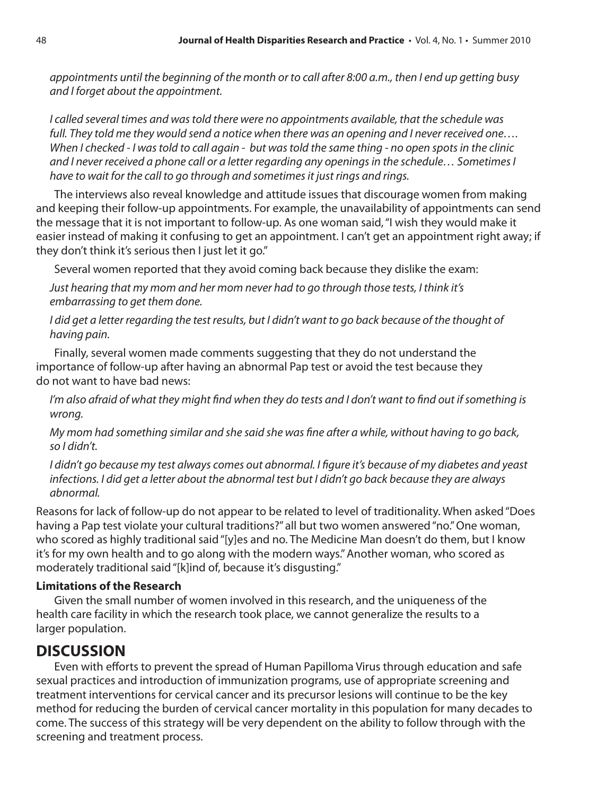*appointments until the beginning of the month or to call after 8:00 a.m., then I end up getting busy and I forget about the appointment.*

*I called several times and was told there were no appointments available, that the schedule was full. They told me they would send a notice when there was an opening and I never received one…. When I checked - I was told to call again - but was told the same thing - no open spots in the clinic and I never received a phone call or a letter regarding any openings in the schedule… Sometimes I have to wait for the call to go through and sometimes it just rings and rings.*

The interviews also reveal knowledge and attitude issues that discourage women from making and keeping their follow-up appointments. For example, the unavailability of appointments can send the message that it is not important to follow-up. As one woman said, "I wish they would make it easier instead of making it confusing to get an appointment. I can't get an appointment right away; if they don't think it's serious then I just let it go."

Several women reported that they avoid coming back because they dislike the exam:

*Just hearing that my mom and her mom never had to go through those tests, I think it's embarrassing to get them done.*

*I* did get a letter regarding the test results, but *I* didn't want to go back because of the thought of *having pain.*

Finally, several women made comments suggesting that they do not understand the importance of follow-up after having an abnormal Pap test or avoid the test because they do not want to have bad news:

*I'm also afraid of what they might find when they do tests and I don't want to find out if something is wrong.*

*My mom had something similar and she said she was fine after a while, without having to go back, so I didn't.*

*I didn't go because my test always comes out abnormal. I figure it's because of my diabetes and yeast infections. I did get a letter about the abnormal test but I didn't go back because they are always abnormal.*

Reasons for lack of follow-up do not appear to be related to level of traditionality. When asked "Does having a Pap test violate your cultural traditions?" all but two women answered "no." One woman, who scored as highly traditional said "[y]es and no. The Medicine Man doesn't do them, but I know it's for my own health and to go along with the modern ways." Another woman, who scored as moderately traditional said "[k]ind of, because it's disgusting."

### **Limitations of the Research**

Given the small number of women involved in this research, and the uniqueness of the health care facility in which the research took place, we cannot generalize the results to a larger population.

# **DISCUSSION**

Even with efforts to prevent the spread of Human Papilloma Virus through education and safe sexual practices and introduction of immunization programs, use of appropriate screening and treatment interventions for cervical cancer and its precursor lesions will continue to be the key method for reducing the burden of cervical cancer mortality in this population for many decades to come. The success of this strategy will be very dependent on the ability to follow through with the screening and treatment process.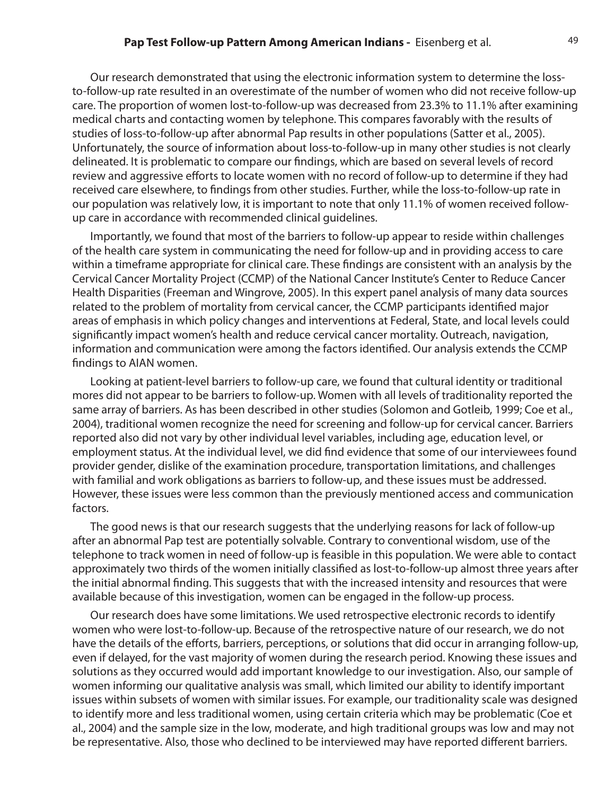#### **Pap Test Follow-up Pattern Among American Indians - Eisenberg et al.** 49

Our research demonstrated that using the electronic information system to determine the lossto-follow-up rate resulted in an overestimate of the number of women who did not receive follow-up care. The proportion of women lost-to-follow-up was decreased from 23.3% to 11.1% after examining medical charts and contacting women by telephone. This compares favorably with the results of studies of loss-to-follow-up after abnormal Pap results in other populations (Satter et al., 2005). Unfortunately, the source of information about loss-to-follow-up in many other studies is not clearly delineated. It is problematic to compare our findings, which are based on several levels of record review and aggressive efforts to locate women with no record of follow-up to determine if they had received care elsewhere, to findings from other studies. Further, while the loss-to-follow-up rate in our population was relatively low, it is important to note that only 11.1% of women received followup care in accordance with recommended clinical guidelines.

Importantly, we found that most of the barriers to follow-up appear to reside within challenges of the health care system in communicating the need for follow-up and in providing access to care within a timeframe appropriate for clinical care. These findings are consistent with an analysis by the Cervical Cancer Mortality Project (CCMP) of the National Cancer Institute's Center to Reduce Cancer Health Disparities (Freeman and Wingrove, 2005). In this expert panel analysis of many data sources related to the problem of mortality from cervical cancer, the CCMP participants identified major areas of emphasis in which policy changes and interventions at Federal, State, and local levels could significantly impact women's health and reduce cervical cancer mortality. Outreach, navigation, information and communication were among the factors identified. Our analysis extends the CCMP findings to AIAN women.

Looking at patient-level barriers to follow-up care, we found that cultural identity or traditional mores did not appear to be barriers to follow-up. Women with all levels of traditionality reported the same array of barriers. As has been described in other studies (Solomon and Gotleib, 1999; Coe et al., 2004), traditional women recognize the need for screening and follow-up for cervical cancer. Barriers reported also did not vary by other individual level variables, including age, education level, or employment status. At the individual level, we did find evidence that some of our interviewees found provider gender, dislike of the examination procedure, transportation limitations, and challenges with familial and work obligations as barriers to follow-up, and these issues must be addressed. However, these issues were less common than the previously mentioned access and communication factors.

The good news is that our research suggests that the underlying reasons for lack of follow-up after an abnormal Pap test are potentially solvable. Contrary to conventional wisdom, use of the telephone to track women in need of follow-up is feasible in this population. We were able to contact approximately two thirds of the women initially classified as lost-to-follow-up almost three years after the initial abnormal finding. This suggests that with the increased intensity and resources that were available because of this investigation, women can be engaged in the follow-up process.

Our research does have some limitations. We used retrospective electronic records to identify women who were lost-to-follow-up. Because of the retrospective nature of our research, we do not have the details of the efforts, barriers, perceptions, or solutions that did occur in arranging follow-up, even if delayed, for the vast majority of women during the research period. Knowing these issues and solutions as they occurred would add important knowledge to our investigation. Also, our sample of women informing our qualitative analysis was small, which limited our ability to identify important issues within subsets of women with similar issues. For example, our traditionality scale was designed to identify more and less traditional women, using certain criteria which may be problematic (Coe et al., 2004) and the sample size in the low, moderate, and high traditional groups was low and may not be representative. Also, those who declined to be interviewed may have reported different barriers.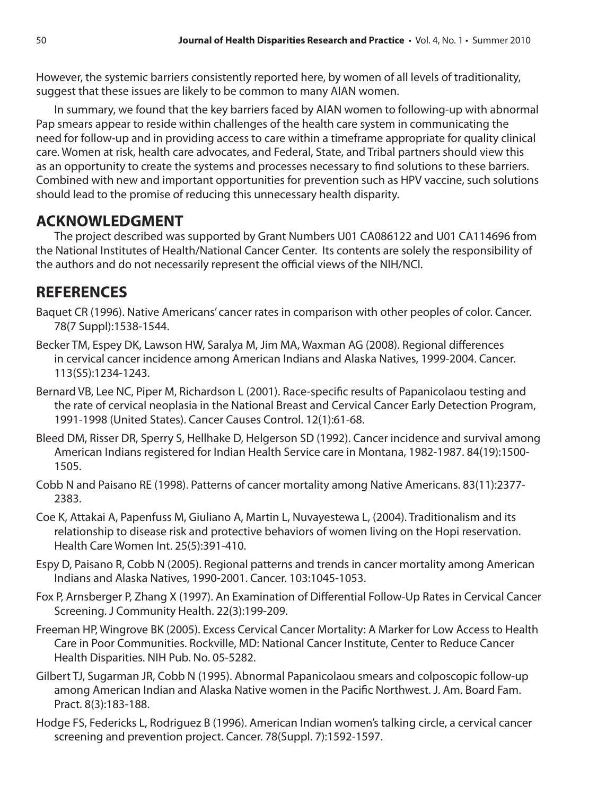However, the systemic barriers consistently reported here, by women of all levels of traditionality, suggest that these issues are likely to be common to many AIAN women.

In summary, we found that the key barriers faced by AIAN women to following-up with abnormal Pap smears appear to reside within challenges of the health care system in communicating the need for follow-up and in providing access to care within a timeframe appropriate for quality clinical care. Women at risk, health care advocates, and Federal, State, and Tribal partners should view this as an opportunity to create the systems and processes necessary to find solutions to these barriers. Combined with new and important opportunities for prevention such as HPV vaccine, such solutions should lead to the promise of reducing this unnecessary health disparity.

## **ACKNOWLEDGMENT**

The project described was supported by Grant Numbers U01 CA086122 and U01 CA114696 from the National Institutes of Health/National Cancer Center. Its contents are solely the responsibility of the authors and do not necessarily represent the official views of the NIH/NCI.

## **REFERENCES**

- Baquet CR (1996). Native Americans' cancer rates in comparison with other peoples of color. Cancer. 78(7 Suppl):1538-1544.
- Becker TM, Espey DK, Lawson HW, Saralya M, Jim MA, Waxman AG (2008). Regional differences in cervical cancer incidence among American Indians and Alaska Natives, 1999-2004. Cancer. 113(S5):1234-1243.
- Bernard VB, Lee NC, Piper M, Richardson L (2001). Race-specific results of Papanicolaou testing and the rate of cervical neoplasia in the National Breast and Cervical Cancer Early Detection Program, 1991-1998 (United States). Cancer Causes Control. 12(1):61-68.
- Bleed DM, Risser DR, Sperry S, Hellhake D, Helgerson SD (1992). Cancer incidence and survival among American Indians registered for Indian Health Service care in Montana, 1982-1987. 84(19):1500- 1505.
- Cobb N and Paisano RE (1998). Patterns of cancer mortality among Native Americans. 83(11):2377- 2383.
- Coe K, Attakai A, Papenfuss M, Giuliano A, Martin L, Nuvayestewa L, (2004). Traditionalism and its relationship to disease risk and protective behaviors of women living on the Hopi reservation. Health Care Women Int. 25(5):391-410.
- Espy D, Paisano R, Cobb N (2005). Regional patterns and trends in cancer mortality among American Indians and Alaska Natives, 1990-2001. Cancer. 103:1045-1053.
- Fox P, Arnsberger P, Zhang X (1997). An Examination of Differential Follow-Up Rates in Cervical Cancer Screening. J Community Health. 22(3):199-209.
- Freeman HP, Wingrove BK (2005). Excess Cervical Cancer Mortality: A Marker for Low Access to Health Care in Poor Communities. Rockville, MD: National Cancer Institute, Center to Reduce Cancer Health Disparities. NIH Pub. No. 05-5282.
- Gilbert TJ, Sugarman JR, Cobb N (1995). Abnormal Papanicolaou smears and colposcopic follow-up among American Indian and Alaska Native women in the Pacific Northwest. J. Am. Board Fam. Pract. 8(3):183-188.
- Hodge FS, Federicks L, Rodriguez B (1996). American Indian women's talking circle, a cervical cancer screening and prevention project. Cancer. 78(Suppl. 7):1592-1597.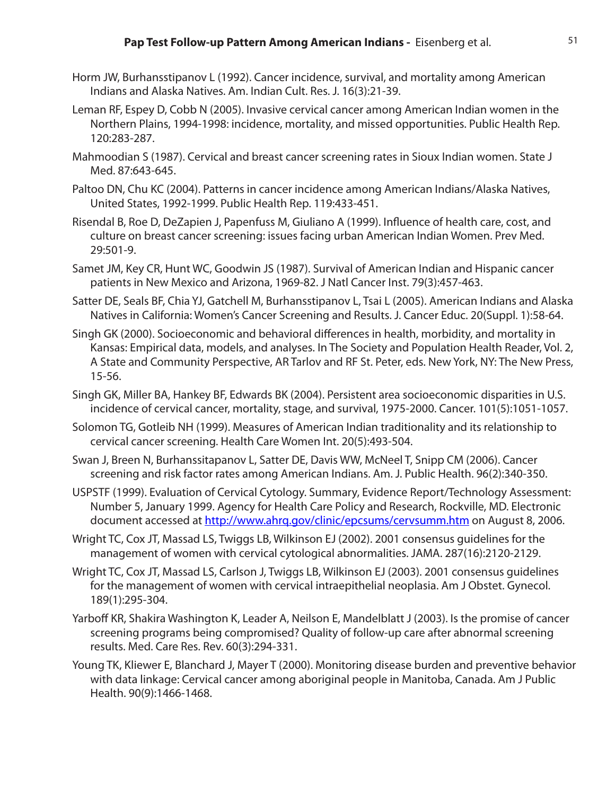- Horm JW, Burhansstipanov L (1992). Cancer incidence, survival, and mortality among American Indians and Alaska Natives. Am. Indian Cult. Res. J. 16(3):21-39.
- Leman RF, Espey D, Cobb N (2005). Invasive cervical cancer among American Indian women in the Northern Plains, 1994-1998: incidence, mortality, and missed opportunities. Public Health Rep. 120:283-287.
- Mahmoodian S (1987). Cervical and breast cancer screening rates in Sioux Indian women. State J Med. 87:643-645.
- Paltoo DN, Chu KC (2004). Patterns in cancer incidence among American Indians/Alaska Natives, United States, 1992-1999. Public Health Rep. 119:433-451.
- Risendal B, Roe D, DeZapien J, Papenfuss M, Giuliano A (1999). Influence of health care, cost, and culture on breast cancer screening: issues facing urban American Indian Women. Prev Med. 29:501-9.
- Samet JM, Key CR, Hunt WC, Goodwin JS (1987). Survival of American Indian and Hispanic cancer patients in New Mexico and Arizona, 1969-82. J Natl Cancer Inst. 79(3):457-463.
- Satter DE, Seals BF, Chia YJ, Gatchell M, Burhansstipanov L, Tsai L (2005). American Indians and Alaska Natives in California: Women's Cancer Screening and Results. J. Cancer Educ. 20(Suppl. 1):58-64.
- Singh GK (2000). Socioeconomic and behavioral differences in health, morbidity, and mortality in Kansas: Empirical data, models, and analyses. In The Society and Population Health Reader, Vol. 2, A State and Community Perspective, AR Tarlov and RF St. Peter, eds. New York, NY: The New Press, 15-56.
- Singh GK, Miller BA, Hankey BF, Edwards BK (2004). Persistent area socioeconomic disparities in U.S. incidence of cervical cancer, mortality, stage, and survival, 1975-2000. Cancer. 101(5):1051-1057.
- Solomon TG, Gotleib NH (1999). Measures of American Indian traditionality and its relationship to cervical cancer screening. Health Care Women Int. 20(5):493-504.
- Swan J, Breen N, Burhanssitapanov L, Satter DE, Davis WW, McNeel T, Snipp CM (2006). Cancer screening and risk factor rates among American Indians. Am. J. Public Health. 96(2):340-350.
- USPSTF (1999). Evaluation of Cervical Cytology. Summary, Evidence Report/Technology Assessment: Number 5, January 1999. Agency for Health Care Policy and Research, Rockville, MD. Electronic document accessed at http://www.ahrg.gov/clinic/epcsums/cervsumm.htm on August 8, 2006.
- Wright TC, Cox JT, Massad LS, Twiggs LB, Wilkinson EJ (2002). 2001 consensus guidelines for the management of women with cervical cytological abnormalities. JAMA. 287(16):2120-2129.
- Wright TC, Cox JT, Massad LS, Carlson J, Twiggs LB, Wilkinson EJ (2003). 2001 consensus guidelines for the management of women with cervical intraepithelial neoplasia. Am J Obstet. Gynecol. 189(1):295-304.
- Yarboff KR, Shakira Washington K, Leader A, Neilson E, Mandelblatt J (2003). Is the promise of cancer screening programs being compromised? Quality of follow-up care after abnormal screening results. Med. Care Res. Rev. 60(3):294-331.
- Young TK, Kliewer E, Blanchard J, Mayer T (2000). Monitoring disease burden and preventive behavior with data linkage: Cervical cancer among aboriginal people in Manitoba, Canada. Am J Public Health. 90(9):1466-1468.